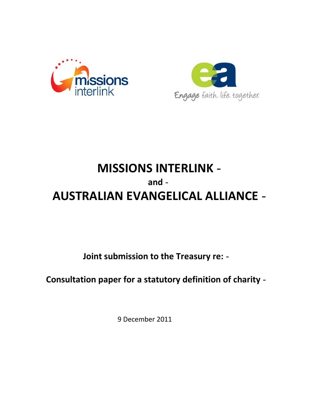



# MISSIONS INTERLINK AUSTRALIAN EVANGELICAL ALLIANCE and

Joint submission to the Treasury re:

Consultation paper for a statutory definition of charity

9 December 2011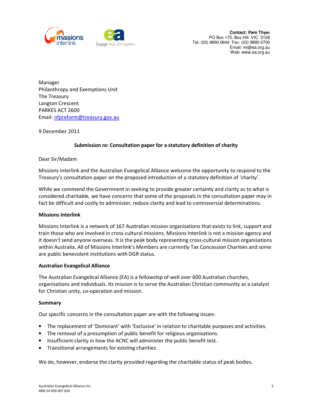



 Philanthropy and Exemptions Unit The Treasury Langton Crescent PARKES ACT 2600 Manager Email: nfpreform@treasury.gov.au

9 December 2011

# Submission re: Consultation paper for a statutory definition of charity

## Dear Sir/Madam

 Missions Interlink and the Australian Evangelical Alliance welcome the opportunity to respond to the Treasury's consultation paper on the proposed introduction of a statutory definition of 'charity'.

 While we commend the Government in seeking to provide greater certainty and clarity as to what is considered charitable, we have concerns that some of the proposals in the consultation paper may in fact be difficult and costly to administer, reduce clarity and lead to controversial determinations.

#### Missions Interlink

 Missions Interlink is a network of 167 Australian mission organisations that exists to link, support and train those who are involved in cross-cultural missions. Missions Interlink is not a mission agency and it doesn't send anyone overseas. It is the peak body representing cross-cultural mission organisations within Australia. All of Missions Interlink's Members are currently Tax Concession Charities and some are public benevolent institutions with DGR status.

#### Australian Evangelical Alliance

 The Australian Evangelical Alliance (EA) is a fellowship of well over 600 Australian churches, organisations and individuals. Its mission is to serve the Australian Christian community as a catalyst for Christian unity, co-operation and mission.

#### Summary

Our specific concerns in the consultation paper are with the following issues:

- The replacement of 'Dominant' with 'Exclusive' in relation to charitable purposes and activities.
- The removal of a presumption of public benefit for religious organisations.
- Insufficient clarity in how the ACNC will administer the public benefit test.
- Transitional arrangements for existing charities.

We do, however, endorse the clarity provided regarding the charitable status of peak bodies.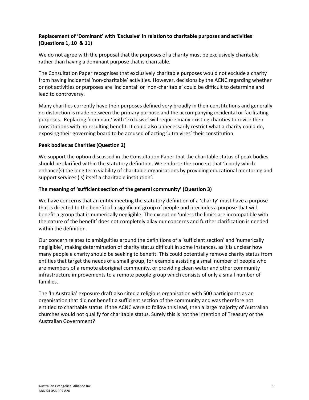# Replacement of 'Dominant' with 'Exclusive' in relation to charitable purposes and activities (Questions 1, 10 & 11)

 We do not agree with the proposal that the purposes of a charity must be exclusively charitable rather than having a dominant purpose that is charitable.

 The Consultation Paper recognises that exclusively charitable purposes would not exclude a charity from having incidental 'non-charitable' activities. However, decisions by the ACNC regarding whether or not activities or purposes are 'incidental' or 'non-charitable' could be difficult to determine and lead to controversy.

 Many charities currently have their purposes defined very broadly in their constitutions and generally no distinction is made between the primary purpose and the accompanying incidental or facilitating purposes. Replacing 'dominant' with 'exclusive' will require many existing charities to revise their constitutions with no resulting benefit. It could also unnecessarily restrict what a charity could do, exposing their governing board to be accused of acting 'ultra vires' their constitution.

## Peak bodies as Charities (Question 2)

 We support the option discussed in the Consultation Paper that the charitable status of peak bodies should be clarified within the statutory definition. We endorse the concept that 'a body which enhance(s) the long term viability of charitable organisations by providing educational mentoring and support services (is) itself a charitable institution'.

## The meaning of 'sufficient section of the general community' (Question 3)

 We have concerns that an entity meeting the statutory definition of a 'charity' must have a purpose that is directed to the benefit of a significant group of people and precludes a purpose that will benefit a group that is numerically negligible. The exception 'unless the limits are incompatible with the nature of the benefit' does not completely allay our concerns and further clarification is needed within the definition.

 Our concern relates to ambiguities around the definitions of a 'sufficient section' and 'numerically negligible', making determination of charity status difficult in some instances, as it is unclear how many people a charity should be seeking to benefit. This could potentially remove charity status from entities that target the needs of a small group, for example assisting a small number of people who are members of a remote aboriginal community, or providing clean water and other community infrastructure improvements to a remote people group which consists of only a small number of families.

 The 'In Australia' exposure draft also cited a religious organisation with 500 participants as an organisation that did not benefit a sufficient section of the community and was therefore not entitled to charitable status. If the ACNC were to follow this lead, then a large majority of Australian churches would not qualify for charitable status. Surely this is not the intention of Treasury or the Australian Government?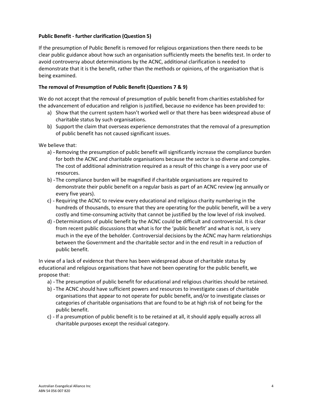# Public Benefit - further clarification (Question 5)

 If the presumption of Public Benefit is removed for religious organizations then there needs to be clear public guidance about how such an organisation sufficiently meets the benefits test. In order to avoid controversy about determinations by the ACNC, additional clarification is needed to demonstrate that it is the benefit, rather than the methods or opinions, of the organisation that is being examined.

#### The removal of Presumption of Public Benefit (Questions 7 & 9)

 We do not accept that the removal of presumption of public benefit from charities established for the advancement of education and religion is justified, because no evidence has been provided to:

- a) Show that the current system hasn't worked well or that there has been widespread abuse of charitable status by such organisations.
- b) Support the claim that overseas experience demonstrates that the removal of a presumption of public benefit has not caused significant issues.

We believe that:

- a) Removing the presumption of public benefit will significantly increase the compliance burden for both the ACNC and charitable organisations because the sector is so diverse and complex. The cost of additional administration required as a result of this change is a very poor use of resources.
- resources.<br>b) The compliance burden will be magnified if charitable organisations are required to demonstrate their public benefit on a regular basis as part of an ACNC review (eg annually or every five years).
- c) Requiring the ACNC to review every educational and religious charity numbering in the hundreds of thousands, to ensure that they are operating for the public benefit, will be a very costly and time-consuming activity that cannot be justified by the low level of risk involved.
- d) Determinations of public benefit by the ACNC could be difficult and controversial. It is clear from recent public discussions that what is for the 'public benefit' and what is not, is very much in the eye of the beholder. Controversial decisions by the ACNC may harm relationships between the Government and the charitable sector and in the end result in a reduction of public benefit.

 In view of a lack of evidence that there has been widespread abuse of charitable status by educational and religious organisations that have not been operating for the public benefit, we propose that:

- a) The presumption of public benefit for educational and religious charities should be retained.
- b) The ACNC should have sufficient powers and resources to investigate cases of charitable organisations that appear to not operate for public benefit, and/or to investigate classes or categories of charitable organisations that are found to be at high risk of not being for the public benefit.
- c) If a presumption of public benefit is to be retained at all, it should apply equally across all charitable purposes except the residual category.